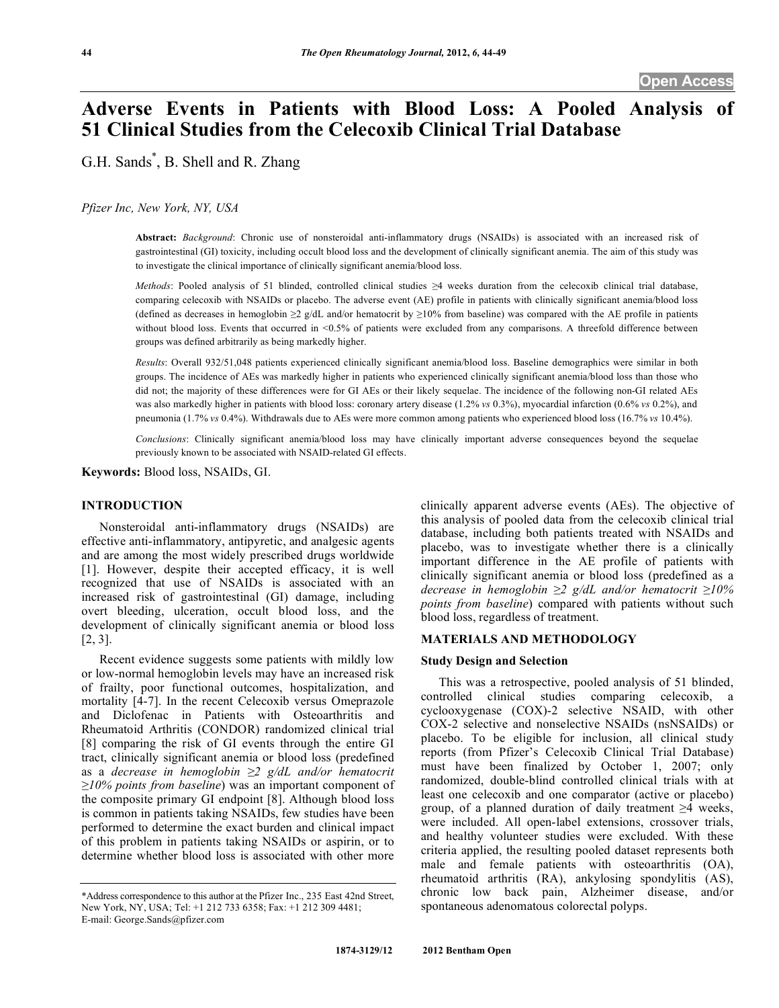# **Adverse Events in Patients with Blood Loss: A Pooled Analysis of 51 Clinical Studies from the Celecoxib Clinical Trial Database**

G.H. Sands\* , B. Shell and R. Zhang

*Pfizer Inc, New York, NY, USA* 

**Abstract:** *Background*: Chronic use of nonsteroidal anti-inflammatory drugs (NSAIDs) is associated with an increased risk of gastrointestinal (GI) toxicity, including occult blood loss and the development of clinically significant anemia. The aim of this study was to investigate the clinical importance of clinically significant anemia/blood loss.

*Methods*: Pooled analysis of 51 blinded, controlled clinical studies  $\geq 4$  weeks duration from the celecoxib clinical trial database, comparing celecoxib with NSAIDs or placebo. The adverse event (AE) profile in patients with clinically significant anemia/blood loss (defined as decreases in hemoglobin  $\geq 2$  g/dL and/or hematocrit by  $\geq 10\%$  from baseline) was compared with the AE profile in patients without blood loss. Events that occurred in <0.5% of patients were excluded from any comparisons. A threefold difference between groups was defined arbitrarily as being markedly higher.

*Results*: Overall 932/51,048 patients experienced clinically significant anemia/blood loss. Baseline demographics were similar in both groups. The incidence of AEs was markedly higher in patients who experienced clinically significant anemia/blood loss than those who did not; the majority of these differences were for GI AEs or their likely sequelae. The incidence of the following non-GI related AEs was also markedly higher in patients with blood loss: coronary artery disease (1.2% *vs* 0.3%), myocardial infarction (0.6% *vs* 0.2%), and pneumonia (1.7% *vs* 0.4%). Withdrawals due to AEs were more common among patients who experienced blood loss (16.7% *vs* 10.4%).

*Conclusions*: Clinically significant anemia/blood loss may have clinically important adverse consequences beyond the sequelae previously known to be associated with NSAID-related GI effects.

**Keywords:** Blood loss, NSAIDs, GI.

# **INTRODUCTION**

 Nonsteroidal anti-inflammatory drugs (NSAIDs) are effective anti-inflammatory, antipyretic, and analgesic agents and are among the most widely prescribed drugs worldwide [1]. However, despite their accepted efficacy, it is well recognized that use of NSAIDs is associated with an increased risk of gastrointestinal (GI) damage, including overt bleeding, ulceration, occult blood loss, and the development of clinically significant anemia or blood loss [2, 3].

 Recent evidence suggests some patients with mildly low or low-normal hemoglobin levels may have an increased risk of frailty, poor functional outcomes, hospitalization, and mortality [4-7]. In the recent Celecoxib versus Omeprazole and Diclofenac in Patients with Osteoarthritis and Rheumatoid Arthritis (CONDOR) randomized clinical trial [8] comparing the risk of GI events through the entire GI tract, clinically significant anemia or blood loss (predefined as a *decrease in hemoglobin 2 g/dL and/or hematocrit*   $\geq 10\%$  *points from baseline*) was an important component of the composite primary GI endpoint [8]. Although blood loss is common in patients taking NSAIDs, few studies have been performed to determine the exact burden and clinical impact of this problem in patients taking NSAIDs or aspirin, or to determine whether blood loss is associated with other more

clinically apparent adverse events (AEs). The objective of this analysis of pooled data from the celecoxib clinical trial database, including both patients treated with NSAIDs and placebo, was to investigate whether there is a clinically important difference in the AE profile of patients with clinically significant anemia or blood loss (predefined as a *decrease in hemoglobin 2 g/dL and/or hematocrit 10% points from baseline*) compared with patients without such blood loss, regardless of treatment.

# **MATERIALS AND METHODOLOGY**

#### **Study Design and Selection**

 This was a retrospective, pooled analysis of 51 blinded, controlled clinical studies comparing celecoxib, a cyclooxygenase (COX)-2 selective NSAID, with other COX-2 selective and nonselective NSAIDs (nsNSAIDs) or placebo. To be eligible for inclusion, all clinical study reports (from Pfizer's Celecoxib Clinical Trial Database) must have been finalized by October 1, 2007; only randomized, double-blind controlled clinical trials with at least one celecoxib and one comparator (active or placebo) group, of a planned duration of daily treatment  $\geq 4$  weeks, were included. All open-label extensions, crossover trials, and healthy volunteer studies were excluded. With these criteria applied, the resulting pooled dataset represents both male and female patients with osteoarthritis (OA), rheumatoid arthritis (RA), ankylosing spondylitis (AS), chronic low back pain, Alzheimer disease, and/or spontaneous adenomatous colorectal polyps.

<sup>\*</sup>Address correspondence to this author at the Pfizer Inc., 235 East 42nd Street, New York, NY, USA; Tel: +1 212 733 6358; Fax: +1 212 309 4481; E-mail: George.Sands@pfizer.com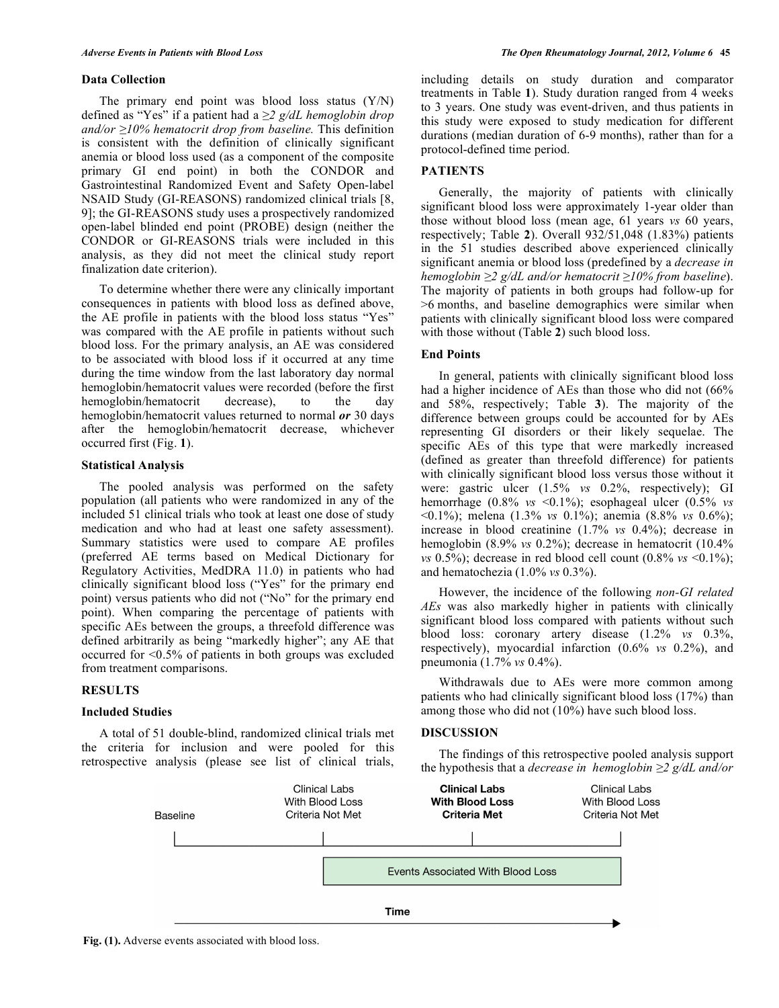#### **Data Collection**

 The primary end point was blood loss status (Y/N) defined as "Yes" if a patient had a *2 g/dL hemoglobin drop and/or 10% hematocrit drop from baseline.* This definition is consistent with the definition of clinically significant anemia or blood loss used (as a component of the composite primary GI end point) in both the CONDOR and Gastrointestinal Randomized Event and Safety Open-label NSAID Study (GI-REASONS) randomized clinical trials [8, 9]; the GI-REASONS study uses a prospectively randomized open-label blinded end point (PROBE) design (neither the CONDOR or GI-REASONS trials were included in this analysis, as they did not meet the clinical study report finalization date criterion).

 To determine whether there were any clinically important consequences in patients with blood loss as defined above, the AE profile in patients with the blood loss status "Yes" was compared with the AE profile in patients without such blood loss. For the primary analysis, an AE was considered to be associated with blood loss if it occurred at any time during the time window from the last laboratory day normal hemoglobin/hematocrit values were recorded (before the first hemoglobin/hematocrit decrease), to the day hemoglobin/hematocrit values returned to normal *or* 30 days after the hemoglobin/hematocrit decrease, whichever occurred first (Fig. **1**).

#### **Statistical Analysis**

 The pooled analysis was performed on the safety population (all patients who were randomized in any of the included 51 clinical trials who took at least one dose of study medication and who had at least one safety assessment). Summary statistics were used to compare AE profiles (preferred AE terms based on Medical Dictionary for Regulatory Activities, MedDRA 11.0) in patients who had clinically significant blood loss ("Yes" for the primary end point) versus patients who did not ("No" for the primary end point). When comparing the percentage of patients with specific AEs between the groups, a threefold difference was defined arbitrarily as being "markedly higher"; any AE that occurred for <0.5% of patients in both groups was excluded from treatment comparisons.

#### **RESULTS**

#### **Included Studies**

 A total of 51 double-blind, randomized clinical trials met the criteria for inclusion and were pooled for this retrospective analysis (please see list of clinical trials,

including details on study duration and comparator treatments in Table **1**). Study duration ranged from 4 weeks to 3 years. One study was event-driven, and thus patients in this study were exposed to study medication for different durations (median duration of 6-9 months), rather than for a protocol-defined time period.

# **PATIENTS**

 Generally, the majority of patients with clinically significant blood loss were approximately 1-year older than those without blood loss (mean age, 61 years *vs* 60 years, respectively; Table **2**). Overall 932/51,048 (1.83%) patients in the 51 studies described above experienced clinically significant anemia or blood loss (predefined by a *decrease in hemoglobin 2 g/dL and/or hematocrit 10% from baseline*). The majority of patients in both groups had follow-up for >6 months, and baseline demographics were similar when patients with clinically significant blood loss were compared with those without (Table 2) such blood loss.

#### **End Points**

 In general, patients with clinically significant blood loss had a higher incidence of AEs than those who did not  $(66\%$ and 58%, respectively; Table **3**). The majority of the difference between groups could be accounted for by AEs representing GI disorders or their likely sequelae. The specific AEs of this type that were markedly increased (defined as greater than threefold difference) for patients with clinically significant blood loss versus those without it were: gastric ulcer (1.5% *vs* 0.2%, respectively); GI hemorrhage (0.8% *vs* <0.1%); esophageal ulcer (0.5% *vs* <0.1%); melena (1.3% *vs* 0.1%); anemia (8.8% *vs* 0.6%); increase in blood creatinine (1.7% *vs* 0.4%); decrease in hemoglobin (8.9% *vs* 0.2%); decrease in hematocrit (10.4% *vs* 0.5%); decrease in red blood cell count  $(0.8\% \text{ vs } 0.1\%);$ and hematochezia (1.0% *vs* 0.3%).

 However, the incidence of the following *non-GI related AEs* was also markedly higher in patients with clinically significant blood loss compared with patients without such blood loss: coronary artery disease (1.2% *vs* 0.3%, respectively), myocardial infarction (0.6% *vs* 0.2%), and pneumonia (1.7% *vs* 0.4%).

 Withdrawals due to AEs were more common among patients who had clinically significant blood loss (17%) than among those who did not (10%) have such blood loss.

## **DISCUSSION**

 The findings of this retrospective pooled analysis support the hypothesis that a *decrease in hemoglobin 2 g/dL and/or* 



**Fig. (1).** Adverse events associated with blood loss.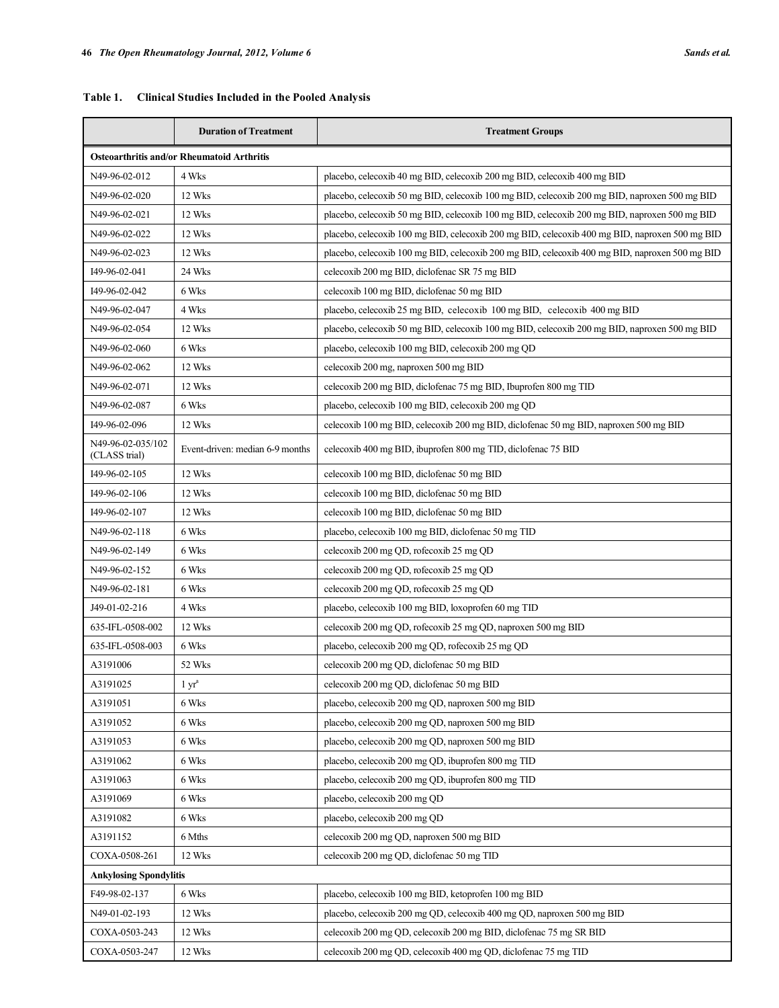| <b>Table 1.</b><br><b>Clinical Studies Included in the Pooled Analysis</b> |                                                         |                                                                                                |  |  |  |
|----------------------------------------------------------------------------|---------------------------------------------------------|------------------------------------------------------------------------------------------------|--|--|--|
|                                                                            | <b>Duration of Treatment</b><br><b>Treatment Groups</b> |                                                                                                |  |  |  |
| <b>Osteoarthritis and/or Rheumatoid Arthritis</b>                          |                                                         |                                                                                                |  |  |  |
| N49-96-02-012                                                              | 4 Wks                                                   | placebo, celecoxib 40 mg BID, celecoxib 200 mg BID, celecoxib 400 mg BID                       |  |  |  |
| N49-96-02-020                                                              | 12 Wks                                                  | placebo, celecoxib 50 mg BID, celecoxib 100 mg BID, celecoxib 200 mg BID, naproxen 500 mg BID  |  |  |  |
| N49-96-02-021                                                              | 12 Wks                                                  | placebo, celecoxib 50 mg BID, celecoxib 100 mg BID, celecoxib 200 mg BID, naproxen 500 mg BID  |  |  |  |
| N49-96-02-022                                                              | 12 Wks                                                  | placebo, celecoxib 100 mg BID, celecoxib 200 mg BID, celecoxib 400 mg BID, naproxen 500 mg BID |  |  |  |
| N49-96-02-023                                                              | 12 Wks                                                  | placebo, celecoxib 100 mg BID, celecoxib 200 mg BID, celecoxib 400 mg BID, naproxen 500 mg BID |  |  |  |
| I49-96-02-041                                                              | 24 Wks                                                  | celecoxib 200 mg BID, diclofenac SR 75 mg BID                                                  |  |  |  |

| N49-96-02-020                      | 12 Wks                          | placebo, celecoxib 50 mg BID, celecoxib 100 mg BID, celecoxib 200 mg BID, naproxen 500 mg BID  |
|------------------------------------|---------------------------------|------------------------------------------------------------------------------------------------|
| N49-96-02-021                      | 12 Wks                          | placebo, celecoxib 50 mg BID, celecoxib 100 mg BID, celecoxib 200 mg BID, naproxen 500 mg BID  |
| N49-96-02-022                      | 12 Wks                          | placebo, celecoxib 100 mg BID, celecoxib 200 mg BID, celecoxib 400 mg BID, naproxen 500 mg BID |
| N49-96-02-023                      | 12 Wks                          | placebo, celecoxib 100 mg BID, celecoxib 200 mg BID, celecoxib 400 mg BID, naproxen 500 mg BID |
| 149-96-02-041                      | 24 Wks                          | celecoxib 200 mg BID, diclofenac SR 75 mg BID                                                  |
| 149-96-02-042                      | 6 Wks                           | celecoxib 100 mg BID, diclofenac 50 mg BID                                                     |
| N49-96-02-047                      | 4 Wks                           | placebo, celecoxib 25 mg BID, celecoxib 100 mg BID, celecoxib 400 mg BID                       |
| N49-96-02-054                      | 12 Wks                          | placebo, celecoxib 50 mg BID, celecoxib 100 mg BID, celecoxib 200 mg BID, naproxen 500 mg BID  |
| N49-96-02-060                      | 6 Wks                           | placebo, celecoxib 100 mg BID, celecoxib 200 mg QD                                             |
| N49-96-02-062                      | 12 Wks                          | celecoxib 200 mg, naproxen 500 mg BID                                                          |
| N49-96-02-071                      | 12 Wks                          | celecoxib 200 mg BID, diclofenac 75 mg BID, Ibuprofen 800 mg TID                               |
| N49-96-02-087                      | 6 Wks                           | placebo, celecoxib 100 mg BID, celecoxib 200 mg QD                                             |
| 149-96-02-096                      | 12 Wks                          | celecoxib 100 mg BID, celecoxib 200 mg BID, diclofenac 50 mg BID, naproxen 500 mg BID          |
| N49-96-02-035/102<br>(CLASS trial) | Event-driven: median 6-9 months | celecoxib 400 mg BID, ibuprofen 800 mg TID, diclofenac 75 BID                                  |
| 149-96-02-105                      | 12 Wks                          | celecoxib 100 mg BID, diclofenac 50 mg BID                                                     |
| 149-96-02-106                      | 12 Wks                          | celecoxib 100 mg BID, diclofenac 50 mg BID                                                     |
| 149-96-02-107                      | 12 Wks                          | celecoxib 100 mg BID, diclofenac 50 mg BID                                                     |
| N49-96-02-118                      | 6 Wks                           | placebo, celecoxib 100 mg BID, diclofenac 50 mg TID                                            |
| N49-96-02-149                      | 6 Wks                           | celecoxib 200 mg QD, rofecoxib 25 mg QD                                                        |
| N49-96-02-152                      | 6 Wks                           | celecoxib 200 mg QD, rofecoxib 25 mg QD                                                        |
| N49-96-02-181                      | 6 Wks                           | celecoxib 200 mg QD, rofecoxib 25 mg QD                                                        |
| J49-01-02-216                      | 4 Wks                           | placebo, celecoxib 100 mg BID, loxoprofen 60 mg TID                                            |
| 635-IFL-0508-002                   | 12 Wks                          | celecoxib 200 mg QD, rofecoxib 25 mg QD, naproxen 500 mg BID                                   |
| 635-IFL-0508-003                   | 6 Wks                           | placebo, celecoxib 200 mg QD, rofecoxib 25 mg QD                                               |
| A3191006                           | 52 Wks                          | celecoxib 200 mg QD, diclofenac 50 mg BID                                                      |
| A3191025                           | $1 \, yra$                      | celecoxib 200 mg QD, diclofenac 50 mg BID                                                      |
| A3191051                           | 6 Wks                           | placebo, celecoxib 200 mg QD, naproxen 500 mg BID                                              |
| A3191052                           | 6 Wks                           | placebo, celecoxib 200 mg QD, naproxen 500 mg BID                                              |
| A3191053                           | 6 Wks                           | placebo, celecoxib 200 mg QD, naproxen 500 mg BID                                              |
| A3191062                           | 6 Wks                           | placebo, celecoxib 200 mg QD, ibuprofen 800 mg TID                                             |
| A3191063                           | 6 Wks                           | placebo, celecoxib 200 mg QD, ibuprofen 800 mg TID                                             |
| A3191069                           | 6 Wks                           | placebo, celecoxib 200 mg QD                                                                   |
| A3191082                           | 6 Wks                           | placebo, celecoxib 200 mg QD                                                                   |
| A3191152                           | 6 Mths                          | celecoxib 200 mg QD, naproxen 500 mg BID                                                       |
| COXA-0508-261                      | 12 Wks                          | celecoxib 200 mg QD, diclofenac 50 mg TID                                                      |
| <b>Ankylosing Spondylitis</b>      |                                 |                                                                                                |
| F49-98-02-137                      | 6 Wks                           | placebo, celecoxib 100 mg BID, ketoprofen 100 mg BID                                           |
| N49-01-02-193                      | 12 Wks                          | placebo, celecoxib 200 mg QD, celecoxib 400 mg QD, naproxen 500 mg BID                         |
| COXA-0503-243                      | 12 Wks                          | celecoxib 200 mg QD, celecoxib 200 mg BID, diclofenac 75 mg SR BID                             |
| COXA-0503-247                      | 12 Wks                          | celecoxib 200 mg QD, celecoxib 400 mg QD, diclofenac 75 mg TID                                 |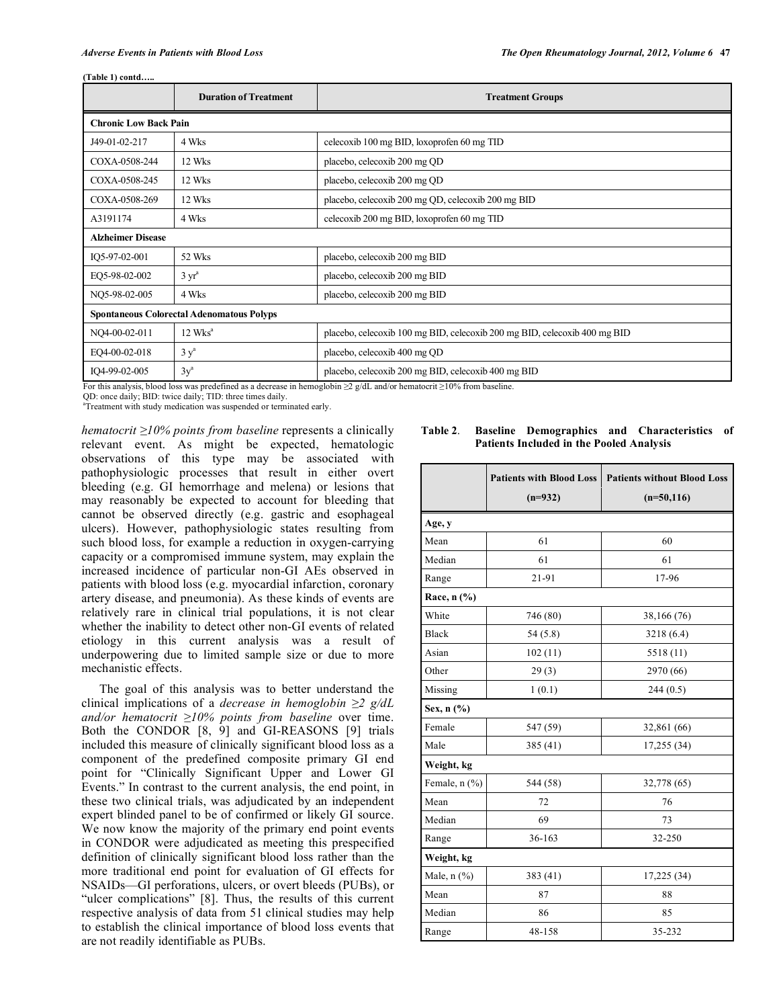#### **(Table 1) contd…..**

|                                                  | <b>Duration of Treatment</b> | <b>Treatment Groups</b>                                                   |  |  |
|--------------------------------------------------|------------------------------|---------------------------------------------------------------------------|--|--|
| <b>Chronic Low Back Pain</b>                     |                              |                                                                           |  |  |
| J49-01-02-217                                    | 4 Wks                        | celecoxib 100 mg BID, loxoprofen 60 mg TID                                |  |  |
| COXA-0508-244                                    | 12 Wks                       | placebo, celecoxib 200 mg QD                                              |  |  |
| COXA-0508-245                                    | 12 Wks                       | placebo, celecoxib 200 mg QD                                              |  |  |
| COXA-0508-269                                    | 12 Wks                       | placebo, celecoxib 200 mg QD, celecoxib 200 mg BID                        |  |  |
| A3191174                                         | 4 Wks                        | celecoxib 200 mg BID, loxoprofen 60 mg TID                                |  |  |
| <b>Alzheimer Disease</b>                         |                              |                                                                           |  |  |
| IO5-97-02-001                                    | 52 Wks                       | placebo, celecoxib 200 mg BID                                             |  |  |
| EQ5-98-02-002                                    | 3 yr <sup>a</sup>            | placebo, celecoxib 200 mg BID                                             |  |  |
| NO5-98-02-005                                    | 4 Wks                        | placebo, celecoxib 200 mg BID                                             |  |  |
| <b>Spontaneous Colorectal Adenomatous Polyps</b> |                              |                                                                           |  |  |
| NQ4-00-02-011                                    | $12$ Wks <sup>a</sup>        | placebo, celecoxib 100 mg BID, celecoxib 200 mg BID, celecoxib 400 mg BID |  |  |
| EO4-00-02-018                                    | $3y^a$                       | placebo, celecoxib 400 mg QD                                              |  |  |
| IO4-99-02-005                                    | $3y^a$                       | placebo, celecoxib 200 mg BID, celecoxib 400 mg BID                       |  |  |

For this analysis, blood loss was predefined as a decrease in hemoglobin  $\geq 2$  g/dL and/or hematocrit  $\geq 10\%$  from baseline.

QD: once daily; BID: twice daily; TID: three times daily.

<sup>a</sup>Treatment with study medication was suspended or terminated early.

*hematocrit 10% points from baseline* represents a clinically relevant event. As might be expected, hematologic observations of this type may be associated with pathophysiologic processes that result in either overt bleeding (e.g. GI hemorrhage and melena) or lesions that may reasonably be expected to account for bleeding that cannot be observed directly (e.g. gastric and esophageal ulcers). However, pathophysiologic states resulting from such blood loss, for example a reduction in oxygen-carrying capacity or a compromised immune system, may explain the increased incidence of particular non-GI AEs observed in patients with blood loss (e.g. myocardial infarction, coronary artery disease, and pneumonia). As these kinds of events are relatively rare in clinical trial populations, it is not clear whether the inability to detect other non-GI events of related etiology in this current analysis was a result of underpowering due to limited sample size or due to more mechanistic effects.

 The goal of this analysis was to better understand the clinical implications of a *decrease in hemoglobin 2 g/dL and/or hematocrit 10% points from baseline* over time. Both the CONDOR [8, 9] and GI-REASONS [9] trials included this measure of clinically significant blood loss as a component of the predefined composite primary GI end point for "Clinically Significant Upper and Lower GI Events." In contrast to the current analysis, the end point, in these two clinical trials, was adjudicated by an independent expert blinded panel to be of confirmed or likely GI source. We now know the majority of the primary end point events in CONDOR were adjudicated as meeting this prespecified definition of clinically significant blood loss rather than the more traditional end point for evaluation of GI effects for NSAIDs—GI perforations, ulcers, or overt bleeds (PUBs), or "ulcer complications" [8]. Thus, the results of this current respective analysis of data from 51 clinical studies may help to establish the clinical importance of blood loss events that are not readily identifiable as PUBs.

| Table 2. |                                                 | Baseline Demographics and Characteristics of |  |
|----------|-------------------------------------------------|----------------------------------------------|--|
|          | <b>Patients Included in the Pooled Analysis</b> |                                              |  |

|               | <b>Patients with Blood Loss</b><br>$(n=932)$ | <b>Patients without Blood Loss</b><br>$(n=50,116)$ |  |  |
|---------------|----------------------------------------------|----------------------------------------------------|--|--|
| Age, y        |                                              |                                                    |  |  |
| Mean          | 61                                           | 60                                                 |  |  |
| Median        | 61                                           | 61                                                 |  |  |
| Range         | 21-91                                        | 17-96                                              |  |  |
| Race, n (%)   |                                              |                                                    |  |  |
| White         | 746 (80)                                     | 38,166 (76)                                        |  |  |
| <b>Black</b>  | 54(5.8)                                      | 3218 (6.4)                                         |  |  |
| Asian         | 102(11)                                      | 5518 (11)                                          |  |  |
| Other         | 29(3)                                        | 2970 (66)                                          |  |  |
| Missing       | 1(0.1)                                       | 244(0.5)                                           |  |  |
| Sex, n (%)    |                                              |                                                    |  |  |
| Female        | 547 (59)                                     | 32,861 (66)                                        |  |  |
| Male          | 385 (41)                                     | 17,255 (34)                                        |  |  |
| Weight, kg    |                                              |                                                    |  |  |
| Female, n (%) | 544 (58)                                     | 32,778 (65)                                        |  |  |
| Mean          | 72                                           | 76                                                 |  |  |
| Median        | 69                                           | 73                                                 |  |  |
| Range         | 36-163                                       | 32-250                                             |  |  |
| Weight, kg    |                                              |                                                    |  |  |
| Male, n (%)   | 383 (41)                                     | 17,225 (34)                                        |  |  |
| Mean          | 87                                           | 88                                                 |  |  |
| Median        | 86                                           | 85                                                 |  |  |
| Range         | 48-158                                       | 35-232                                             |  |  |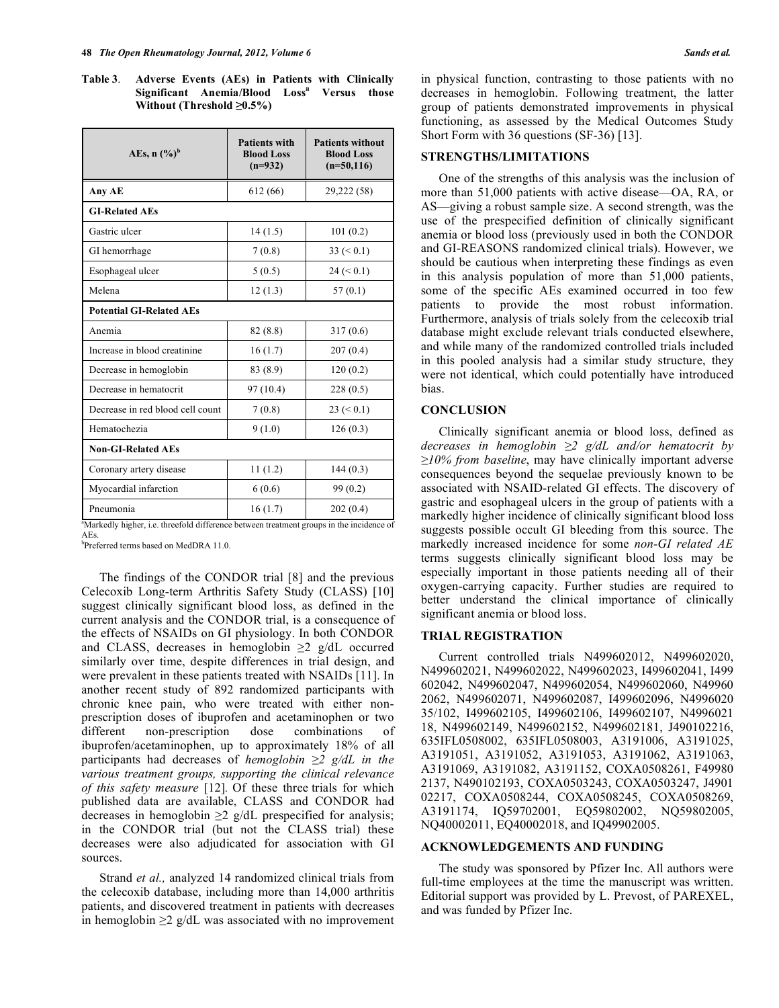**Table 3**. **Adverse Events (AEs) in Patients with Clinically Significant Anemia/Blood Lossa Versus those Without (Threshold ≥0.5%)** 

| AEs, $n$ $(\%)^b$                                                                                               | <b>Patients with</b><br><b>Blood Loss</b><br>$(n=932)$ | <b>Patients without</b><br><b>Blood Loss</b><br>$(n=50, 116)$ |  |
|-----------------------------------------------------------------------------------------------------------------|--------------------------------------------------------|---------------------------------------------------------------|--|
| Any AE                                                                                                          | 612 (66)                                               | 29,222 (58)                                                   |  |
| <b>GI-Related AEs</b>                                                                                           |                                                        |                                                               |  |
| Gastric ulcer                                                                                                   | 14(1.5)                                                | 101(0.2)                                                      |  |
| GI hemorrhage                                                                                                   | 7(0.8)                                                 | $33 \le 0.1$                                                  |  |
| Esophageal ulcer                                                                                                | 5(0.5)                                                 | $24 \le 0.1$                                                  |  |
| Melena                                                                                                          | 12(1.3)                                                | 57(0.1)                                                       |  |
| <b>Potential GI-Related AEs</b>                                                                                 |                                                        |                                                               |  |
| Anemia                                                                                                          | 82(8.8)                                                | 317(0.6)                                                      |  |
| Increase in blood creatinine                                                                                    | 16(1.7)                                                | 207(0.4)                                                      |  |
| Decrease in hemoglobin                                                                                          | 83 (8.9)                                               | 120(0.2)                                                      |  |
| Decrease in hematocrit                                                                                          | 97(10.4)                                               | 228(0.5)                                                      |  |
| Decrease in red blood cell count                                                                                | 7(0.8)                                                 | $23 \le 0.1$                                                  |  |
| Hematochezia                                                                                                    | 9(1.0)                                                 | 126(0.3)                                                      |  |
| <b>Non-GI-Related AEs</b>                                                                                       |                                                        |                                                               |  |
| Coronary artery disease                                                                                         | 11(1.2)                                                | 144(0.3)                                                      |  |
| Myocardial infarction                                                                                           | 6(0.6)                                                 | 99(0.2)                                                       |  |
| Pneumonia<br><sup>a</sup> Markedly higher i.e. throafold difference between treatment groung in the incidence o | 16(1.7)                                                | 202(0.4)                                                      |  |

Markedly higher, i.e. threefold difference between treatment groups in the incidence of AEs.

b Preferred terms based on MedDRA 11.0.

 The findings of the CONDOR trial [8] and the previous Celecoxib Long-term Arthritis Safety Study (CLASS) [10] suggest clinically significant blood loss, as defined in the current analysis and the CONDOR trial, is a consequence of the effects of NSAIDs on GI physiology. In both CONDOR and CLASS, decreases in hemoglobin  $\geq 2$  g/dL occurred similarly over time, despite differences in trial design, and were prevalent in these patients treated with NSAIDs [11]. In another recent study of 892 randomized participants with chronic knee pain, who were treated with either nonprescription doses of ibuprofen and acetaminophen or two different non-prescription dose combinations of ibuprofen/acetaminophen, up to approximately 18% of all participants had decreases of *hemoglobin 2 g/dL in the various treatment groups, supporting the clinical relevance of this safety measure* [12]*.* Of these three trials for which published data are available, CLASS and CONDOR had decreases in hemoglobin  $\geq 2$  g/dL prespecified for analysis; in the CONDOR trial (but not the CLASS trial) these decreases were also adjudicated for association with GI sources.

 Strand *et al.,* analyzed 14 randomized clinical trials from the celecoxib database, including more than 14,000 arthritis patients, and discovered treatment in patients with decreases in hemoglobin  $\geq 2$  g/dL was associated with no improvement

in physical function, contrasting to those patients with no decreases in hemoglobin. Following treatment, the latter group of patients demonstrated improvements in physical functioning, as assessed by the Medical Outcomes Study Short Form with 36 questions (SF-36) [13].

# **STRENGTHS/LIMITATIONS**

 One of the strengths of this analysis was the inclusion of more than 51,000 patients with active disease—OA, RA, or AS—giving a robust sample size. A second strength, was the use of the prespecified definition of clinically significant anemia or blood loss (previously used in both the CONDOR and GI-REASONS randomized clinical trials). However, we should be cautious when interpreting these findings as even in this analysis population of more than 51,000 patients, some of the specific AEs examined occurred in too few patients to provide the most robust information. Furthermore, analysis of trials solely from the celecoxib trial database might exclude relevant trials conducted elsewhere, and while many of the randomized controlled trials included in this pooled analysis had a similar study structure, they were not identical, which could potentially have introduced bias.

# **CONCLUSION**

 Clinically significant anemia or blood loss, defined as *decreases in hemoglobin 2 g/dL and/or hematocrit by*   $\geq$ 10% *from baseline*, may have clinically important adverse consequences beyond the sequelae previously known to be associated with NSAID-related GI effects. The discovery of gastric and esophageal ulcers in the group of patients with a markedly higher incidence of clinically significant blood loss suggests possible occult GI bleeding from this source. The markedly increased incidence for some *non-GI related AE* terms suggests clinically significant blood loss may be especially important in those patients needing all of their oxygen-carrying capacity. Further studies are required to better understand the clinical importance of clinically significant anemia or blood loss.

# **TRIAL REGISTRATION**

 Current controlled trials N499602012, N499602020, N499602021, N499602022, N499602023, I499602041, I499 602042, N499602047, N499602054, N499602060, N49960 2062, N499602071, N499602087, I499602096, N4996020 35/102, I499602105, I499602106, I499602107, N4996021 18, N499602149, N499602152, N499602181, J490102216, 635IFL0508002, 635IFL0508003, A3191006, A3191025, A3191051, A3191052, A3191053, A3191062, A3191063, A3191069, A3191082, A3191152, COXA0508261, F49980 2137, N490102193, COXA0503243, COXA0503247, J4901 02217, COXA0508244, COXA0508245, COXA0508269, A3191174, IQ59702001, EQ59802002, NQ59802005, NQ40002011, EQ40002018, and IQ49902005.

# **ACKNOWLEDGEMENTS AND FUNDING**

 The study was sponsored by Pfizer Inc. All authors were full-time employees at the time the manuscript was written. Editorial support was provided by L. Prevost, of PAREXEL, and was funded by Pfizer Inc.